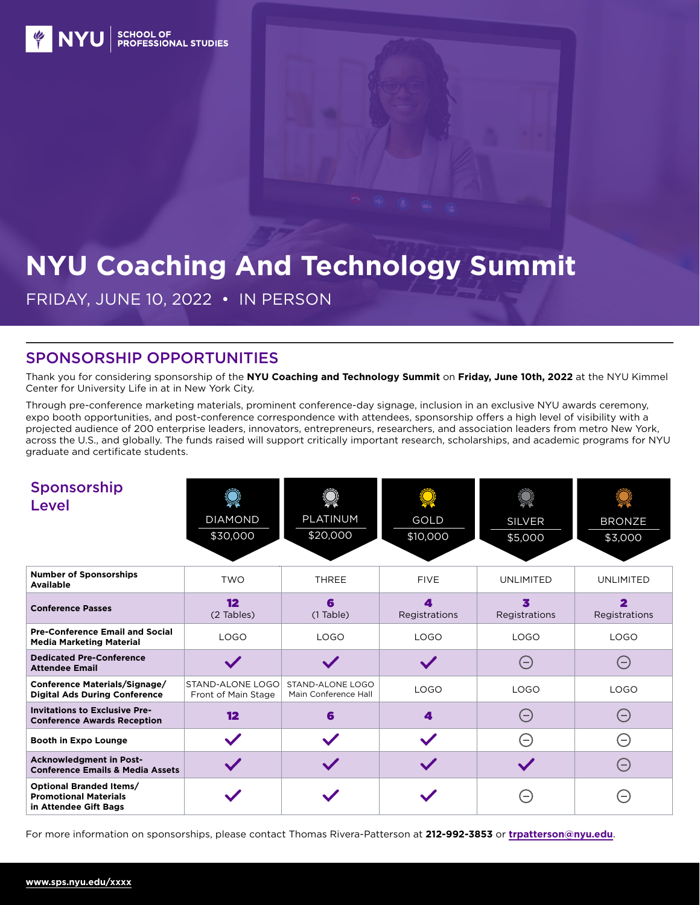



# **NYU Coaching And Technology Summit**

FRIDAY, JUNE 10, 2022 • IN PERSON

### SPONSORSHIP OPPORTUNITIES

Thank you for considering sponsorship of the **NYU Coaching and Technology Summit** on **Friday, June 10th, 2022** at the NYU Kimmel Center for University Life in at in New York City.

Through pre-conference marketing materials, prominent conference-day signage, inclusion in an exclusive NYU awards ceremony, expo booth opportunities, and post-conference correspondence with attendees, sponsorship offers a high level of visibility with a projected audience of 200 enterprise leaders, innovators, entrepreneurs, researchers, and association leaders from metro New York, across the U.S., and globally. The funds raised will support critically important research, scholarships, and academic programs for NYU graduate and certificate students.

| Sponsorship<br><b>Level</b>                                                      | <b>DIAMOND</b><br>\$30,000                     | PLATINUM<br>\$20,000                     | GOLD<br>\$10,000   | <b>SILVER</b><br>\$5,000 | <b>BRONZE</b><br>\$3,000 |
|----------------------------------------------------------------------------------|------------------------------------------------|------------------------------------------|--------------------|--------------------------|--------------------------|
| <b>Number of Sponsorships</b><br><b>Available</b>                                | <b>TWO</b>                                     | <b>THREE</b>                             | <b>FIVE</b>        | <b>UNLIMITED</b>         | <b>UNLIMITED</b>         |
| <b>Conference Passes</b>                                                         | 12<br>(2 Tables)                               | 6<br>$(1$ Table)                         | 4<br>Registrations | x<br>Registrations       | Registrations            |
| <b>Pre-Conference Email and Social</b><br><b>Media Marketing Material</b>        | <b>LOGO</b>                                    | <b>LOGO</b>                              | <b>LOGO</b>        | LOGO                     | <b>LOGO</b>              |
| <b>Dedicated Pre-Conference</b><br><b>Attendee Email</b>                         |                                                |                                          |                    | 0                        | $(-)$                    |
| Conference Materials/Signage/<br><b>Digital Ads During Conference</b>            | <b>STAND-ALONE LOGO</b><br>Front of Main Stage | STAND-ALONE LOGO<br>Main Conference Hall | <b>LOGO</b>        | <b>LOGO</b>              | <b>LOGO</b>              |
| <b>Invitations to Exclusive Pre-</b><br><b>Conference Awards Reception</b>       | $12 \,$                                        | 6                                        | 4                  | $(-)$                    | $\ominus$                |
| <b>Booth in Expo Lounge</b>                                                      |                                                | $\checkmark$                             |                    | $(-)$                    | $(\hbox{--})$            |
| <b>Acknowledgment in Post-</b><br><b>Conference Emails &amp; Media Assets</b>    |                                                |                                          |                    |                          | $(-)$                    |
| Optional Branded Items/<br><b>Promotional Materials</b><br>in Attendee Gift Bags |                                                |                                          |                    |                          | $=$                      |

For more information on sponsorships, please contact Thomas Rivera-Patterson at **212-992-3853** or **[trpatterson@nyu.edu](mailto:trpatterson%40nyu.edu?subject=)**.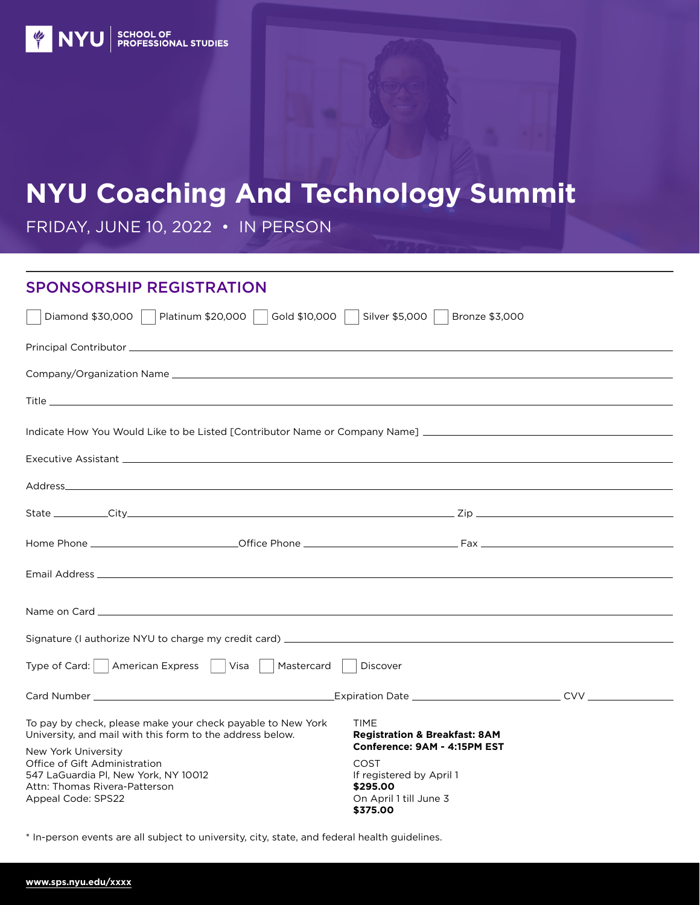# **NYU Coaching And Technology Summit**

FRIDAY, JUNE 10, 2022 • IN PERSON

#### SPONSORSHIP REGISTRATION

| Platinum \$20,000    <br>Gold \$10,000<br>Diamond \$30,000                                                                                                                                                                           | Silver \$5,000<br>Bronze \$3,000                                                                                   |  |
|--------------------------------------------------------------------------------------------------------------------------------------------------------------------------------------------------------------------------------------|--------------------------------------------------------------------------------------------------------------------|--|
|                                                                                                                                                                                                                                      |                                                                                                                    |  |
|                                                                                                                                                                                                                                      |                                                                                                                    |  |
|                                                                                                                                                                                                                                      |                                                                                                                    |  |
| Indicate How You Would Like to be Listed [Contributor Name or Company Name] __________________________________                                                                                                                       |                                                                                                                    |  |
|                                                                                                                                                                                                                                      |                                                                                                                    |  |
|                                                                                                                                                                                                                                      |                                                                                                                    |  |
|                                                                                                                                                                                                                                      |                                                                                                                    |  |
|                                                                                                                                                                                                                                      |                                                                                                                    |  |
|                                                                                                                                                                                                                                      |                                                                                                                    |  |
| Name on Card <b>Executive Contract Contract Contract Contract Contract Contract Contract Contract Contract Contract Contract Contract Contract Contract Contract Contract Contract Contract Contract Contract Contract Contract </b> |                                                                                                                    |  |
|                                                                                                                                                                                                                                      |                                                                                                                    |  |
| Type of Card:     American Express     Visa  <br>Mastercard                                                                                                                                                                          | Discover                                                                                                           |  |
|                                                                                                                                                                                                                                      |                                                                                                                    |  |
| To pay by check, please make your check payable to New York<br>University, and mail with this form to the address below.                                                                                                             | TIME<br><b>Registration &amp; Breakfast: 8AM</b>                                                                   |  |
| New York University<br>Office of Gift Administration<br>547 LaGuardia Pl, New York, NY 10012<br>Attn: Thomas Rivera-Patterson<br>Appeal Code: SPS22                                                                                  | Conference: 9AM - 4:15PM EST<br>COST<br>If registered by April 1<br>\$295,00<br>On April 1 till June 3<br>\$375.00 |  |

\* In-person events are all subject to university, city, state, and federal health guidelines.